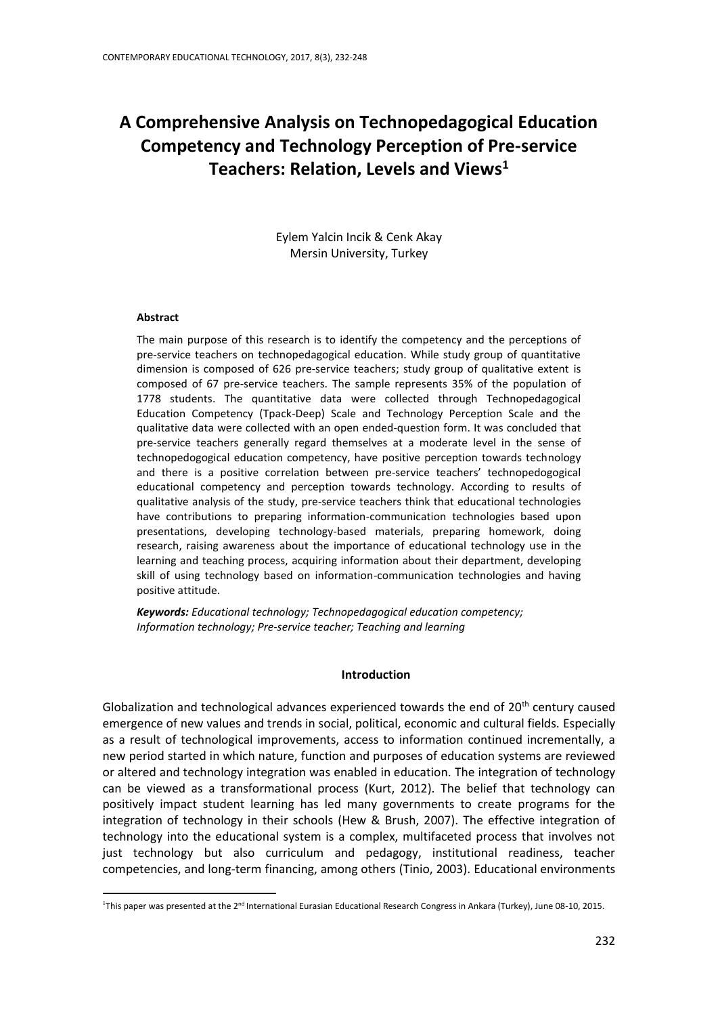# **A Comprehensive Analysis on Technopedagogical Education Competency and Technology Perception of Pre-service Teachers: Relation, Levels and Views<sup>1</sup>**

Eylem Yalcin Incik & Cenk Akay Mersin University, Turkey

### **Abstract**

**.** 

The main purpose of this research is to identify the competency and the perceptions of pre-service teachers on technopedagogical education. While study group of quantitative dimension is composed of 626 pre-service teachers; study group of qualitative extent is composed of 67 pre-service teachers. The sample represents 35% of the population of 1778 students. The quantitative data were collected through Technopedagogical Education Competency (Tpack-Deep) Scale and Technology Perception Scale and the qualitative data were collected with an open ended-question form. It was concluded that pre-service teachers generally regard themselves at a moderate level in the sense of technopedogogical education competency, have positive perception towards technology and there is a positive correlation between pre-service teachers' technopedogogical educational competency and perception towards technology. According to results of qualitative analysis of the study, pre-service teachers think that educational technologies have contributions to preparing information-communication technologies based upon presentations, developing technology-based materials, preparing homework, doing research, raising awareness about the importance of educational technology use in the learning and teaching process, acquiring information about their department, developing skill of using technology based on information-communication technologies and having positive attitude.

*Keywords: Educational technology; Technopedagogical education competency; Information technology; Pre-service teacher; Teaching and learning*

### **Introduction**

Globalization and technological advances experienced towards the end of  $20<sup>th</sup>$  century caused emergence of new values and trends in social, political, economic and cultural fields. Especially as a result of technological improvements, access to information continued incrementally, a new period started in which nature, function and purposes of education systems are reviewed or altered and technology integration was enabled in education. The integration of technology can be viewed as a transformational process (Kurt, 2012). The belief that technology can positively impact student learning has led many governments to create programs for the integration of technology in their schools (Hew & Brush, 2007). The effective integration of technology into the educational system is a complex, multifaceted process that involves not just technology but also curriculum and pedagogy, institutional readiness, teacher competencies, and long-term financing, among others (Tinio, 2003). Educational environments

<sup>&</sup>lt;sup>1</sup>This paper was presented at the 2<sup>nd</sup> International Eurasian Educational Research Congress in Ankara (Turkey), June 08-10, 2015.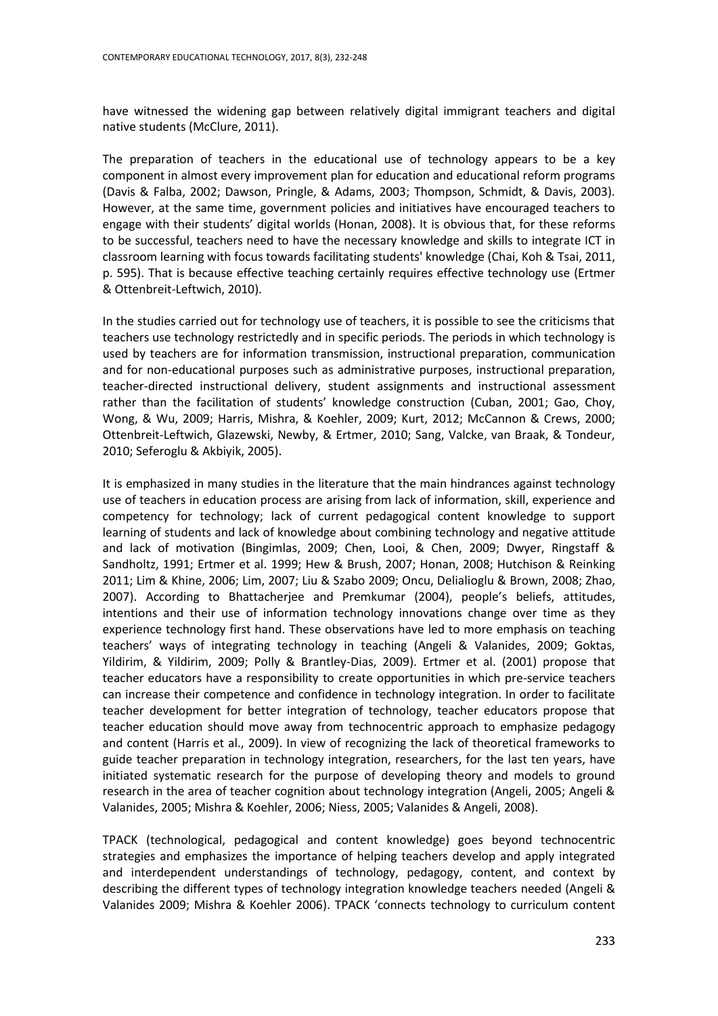have witnessed the widening gap between relatively digital immigrant teachers and digital native students (McClure, 2011).

The preparation of teachers in the educational use of technology appears to be a key component in almost every improvement plan for education and educational reform programs (Davis & Falba, 2002; Dawson, Pringle, & Adams, 2003; Thompson, Schmidt, & Davis, 2003). However, at the same time, government policies and initiatives have encouraged teachers to engage with their students' digital worlds (Honan, 2008). It is obvious that, for these reforms to be successful, teachers need to have the necessary knowledge and skills to integrate ICT in classroom learning with focus towards facilitating students' knowledge (Chai, Koh & Tsai, 2011, p. 595). That is because effective teaching certainly requires effective technology use (Ertmer & Ottenbreit-Leftwich, 2010).

In the studies carried out for technology use of teachers, it is possible to see the criticisms that teachers use technology restrictedly and in specific periods. The periods in which technology is used by teachers are for information transmission, instructional preparation, communication and for non-educational purposes such as administrative purposes, instructional preparation, teacher-directed instructional delivery, student assignments and instructional assessment rather than the facilitation of students' knowledge construction (Cuban, 2001; Gao, Choy, Wong, & Wu, 2009; Harris, Mishra, & Koehler, 2009; Kurt, 2012; McCannon & Crews, 2000; Ottenbreit-Leftwich, Glazewski, Newby, & Ertmer, 2010; Sang, Valcke, van Braak, & Tondeur, 2010; Seferoglu & Akbiyik, 2005).

It is emphasized in many studies in the literature that the main hindrances against technology use of teachers in education process are arising from lack of information, skill, experience and competency for technology; lack of current pedagogical content knowledge to support learning of students and lack of knowledge about combining technology and negative attitude and lack of motivation (Bingimlas, 2009; Chen, Looi, & Chen, 2009; Dwyer, Ringstaff & Sandholtz, 1991; Ertmer et al. 1999; Hew & Brush, 2007; Honan, 2008; Hutchison & Reinking 2011; Lim & Khine, 2006; Lim, 2007; Liu & Szabo 2009; Oncu, Delialioglu & Brown, 2008; Zhao, 2007). According to Bhattacherjee and Premkumar (2004), people's beliefs, attitudes, intentions and their use of information technology innovations change over time as they experience technology first hand. These observations have led to more emphasis on teaching teachers' ways of integrating technology in teaching (Angeli & Valanides, 2009; Goktas, Yildirim, & Yildirim, 2009; Polly & Brantley-Dias, 2009). Ertmer et al. (2001) propose that teacher educators have a responsibility to create opportunities in which pre-service teachers can increase their competence and confidence in technology integration. In order to facilitate teacher development for better integration of technology, teacher educators propose that teacher education should move away from technocentric approach to emphasize pedagogy and content (Harris et al., 2009). In view of recognizing the lack of theoretical frameworks to guide teacher preparation in technology integration, researchers, for the last ten years, have initiated systematic research for the purpose of developing theory and models to ground research in the area of teacher cognition about technology integration (Angeli, 2005; Angeli & Valanides, 2005; Mishra & Koehler, 2006; Niess, 2005; Valanides & Angeli, 2008).

TPACK (technological, pedagogical and content knowledge) goes beyond technocentric strategies and emphasizes the importance of helping teachers develop and apply integrated and interdependent understandings of technology, pedagogy, content, and context by describing the different types of technology integration knowledge teachers needed (Angeli & Valanides 2009; Mishra & Koehler 2006). TPACK 'connects technology to curriculum content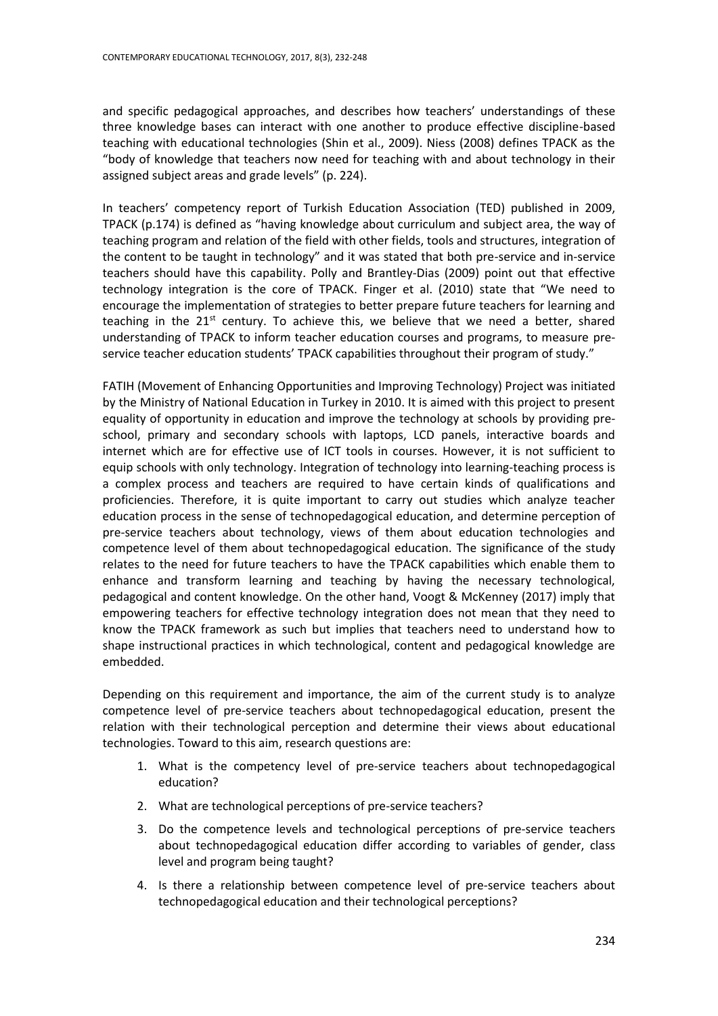and specific pedagogical approaches, and describes how teachers' understandings of these three knowledge bases can interact with one another to produce effective discipline-based teaching with educational technologies (Shin et al., 2009). Niess (2008) defines TPACK as the "body of knowledge that teachers now need for teaching with and about technology in their assigned subject areas and grade levels" (p. 224).

In teachers' competency report of Turkish Education Association (TED) published in 2009, TPACK (p.174) is defined as "having knowledge about curriculum and subject area, the way of teaching program and relation of the field with other fields, tools and structures, integration of the content to be taught in technology" and it was stated that both pre-service and in-service teachers should have this capability. Polly and Brantley-Dias (2009) point out that effective technology integration is the core of TPACK. Finger et al. (2010) state that "We need to encourage the implementation of strategies to better prepare future teachers for learning and teaching in the  $21^{st}$  century. To achieve this, we believe that we need a better, shared understanding of TPACK to inform teacher education courses and programs, to measure preservice teacher education students' TPACK capabilities throughout their program of study."

FATIH (Movement of Enhancing Opportunities and Improving Technology) Project was initiated by the Ministry of National Education in Turkey in 2010. It is aimed with this project to present equality of opportunity in education and improve the technology at schools by providing preschool, primary and secondary schools with laptops, LCD panels, interactive boards and internet which are for effective use of ICT tools in courses. However, it is not sufficient to equip schools with only technology. Integration of technology into learning-teaching process is a complex process and teachers are required to have certain kinds of qualifications and proficiencies. Therefore, it is quite important to carry out studies which analyze teacher education process in the sense of technopedagogical education, and determine perception of pre-service teachers about technology, views of them about education technologies and competence level of them about technopedagogical education. The significance of the study relates to the need for future teachers to have the TPACK capabilities which enable them to enhance and transform learning and teaching by having the necessary technological, pedagogical and content knowledge. On the other hand, Voogt & McKenney (2017) imply that empowering teachers for effective technology integration does not mean that they need to know the TPACK framework as such but implies that teachers need to understand how to shape instructional practices in which technological, content and pedagogical knowledge are embedded.

Depending on this requirement and importance, the aim of the current study is to analyze competence level of pre-service teachers about technopedagogical education, present the relation with their technological perception and determine their views about educational technologies. Toward to this aim, research questions are:

- 1. What is the competency level of pre-service teachers about technopedagogical education?
- 2. What are technological perceptions of pre-service teachers?
- 3. Do the competence levels and technological perceptions of pre-service teachers about technopedagogical education differ according to variables of gender, class level and program being taught?
- 4. Is there a relationship between competence level of pre-service teachers about technopedagogical education and their technological perceptions?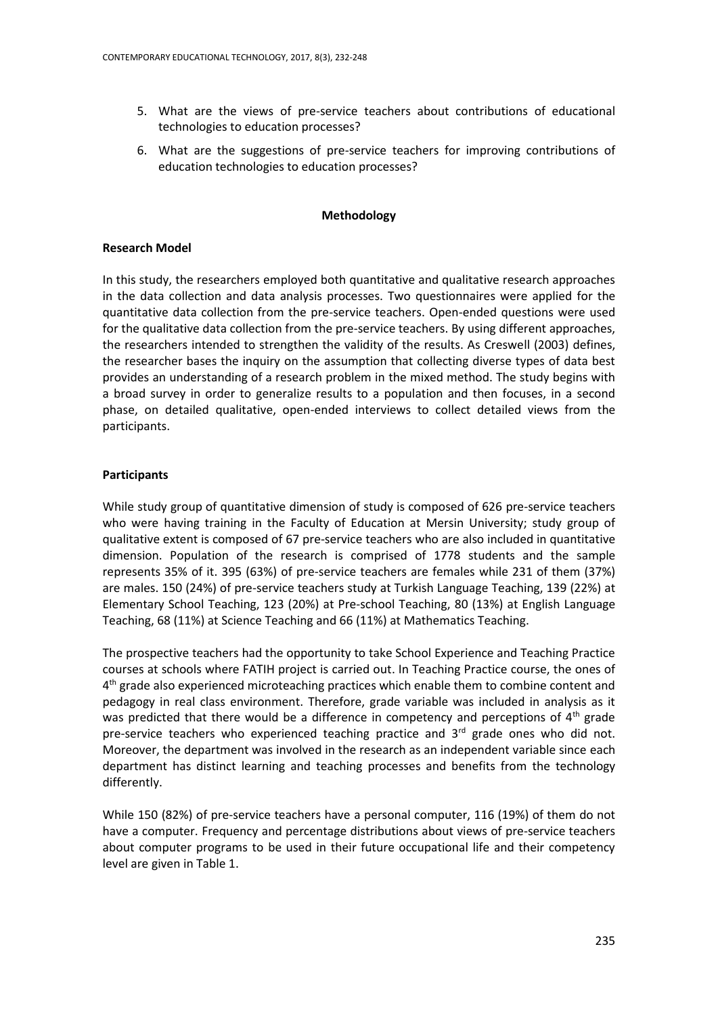- 5. What are the views of pre-service teachers about contributions of educational technologies to education processes?
- 6. What are the suggestions of pre-service teachers for improving contributions of education technologies to education processes?

## **Methodology**

## **Research Model**

In this study, the researchers employed both quantitative and qualitative research approaches in the data collection and data analysis processes. Two questionnaires were applied for the quantitative data collection from the pre-service teachers. Open-ended questions were used for the qualitative data collection from the pre-service teachers. By using different approaches, the researchers intended to strengthen the validity of the results. As Creswell (2003) defines, the researcher bases the inquiry on the assumption that collecting diverse types of data best provides an understanding of a research problem in the mixed method. The study begins with a broad survey in order to generalize results to a population and then focuses, in a second phase, on detailed qualitative, open-ended interviews to collect detailed views from the participants.

## **Participants**

While study group of quantitative dimension of study is composed of 626 pre-service teachers who were having training in the Faculty of Education at Mersin University; study group of qualitative extent is composed of 67 pre-service teachers who are also included in quantitative dimension. Population of the research is comprised of 1778 students and the sample represents 35% of it. 395 (63%) of pre-service teachers are females while 231 of them (37%) are males. 150 (24%) of pre-service teachers study at Turkish Language Teaching, 139 (22%) at Elementary School Teaching, 123 (20%) at Pre-school Teaching, 80 (13%) at English Language Teaching, 68 (11%) at Science Teaching and 66 (11%) at Mathematics Teaching.

The prospective teachers had the opportunity to take School Experience and Teaching Practice courses at schools where FATIH project is carried out. In Teaching Practice course, the ones of 4<sup>th</sup> grade also experienced microteaching practices which enable them to combine content and pedagogy in real class environment. Therefore, grade variable was included in analysis as it was predicted that there would be a difference in competency and perceptions of  $4<sup>th</sup>$  grade pre-service teachers who experienced teaching practice and  $3<sup>rd</sup>$  grade ones who did not. Moreover, the department was involved in the research as an independent variable since each department has distinct learning and teaching processes and benefits from the technology differently.

While 150 (82%) of pre-service teachers have a personal computer, 116 (19%) of them do not have a computer. Frequency and percentage distributions about views of pre-service teachers about computer programs to be used in their future occupational life and their competency level are given in Table 1.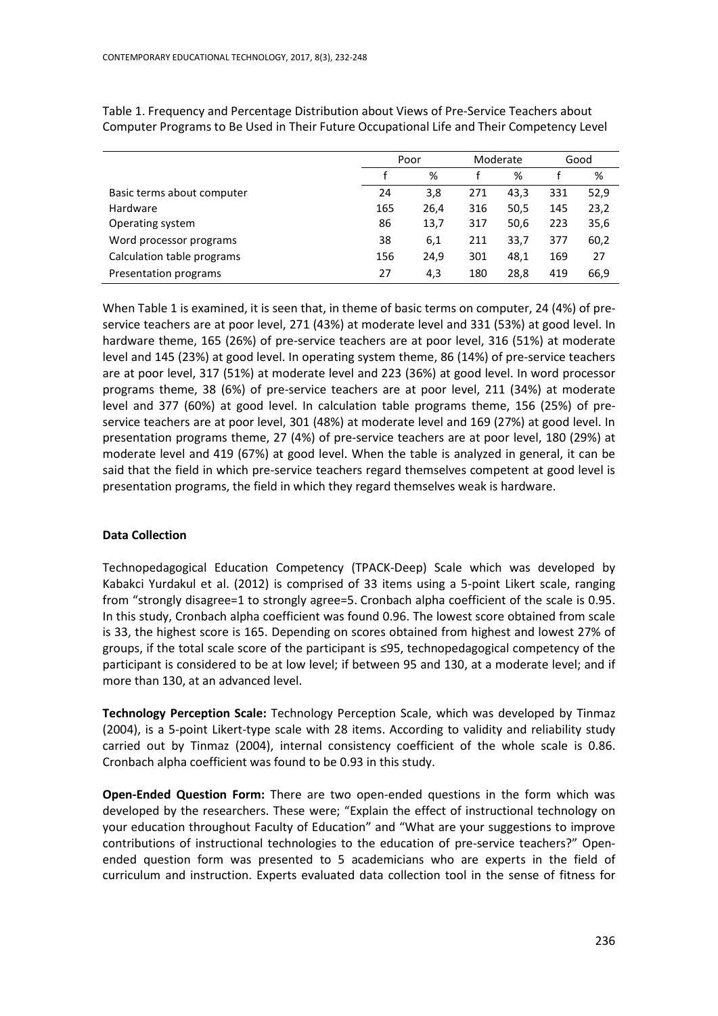|                            | Poor |      |     | Moderate |     | Good |
|----------------------------|------|------|-----|----------|-----|------|
|                            |      | %    |     | %        |     | %    |
| Basic terms about computer | 24   | 3,8  | 271 | 43.3     | 331 | 52,9 |
| Hardware                   | 165  | 26.4 | 316 | 50,5     | 145 | 23,2 |
| Operating system           | 86   | 13,7 | 317 | 50,6     | 223 | 35,6 |
| Word processor programs    | 38   | 6,1  | 211 | 33.7     | 377 | 60,2 |
| Calculation table programs | 156  | 24,9 | 301 | 48,1     | 169 | 27   |
| Presentation programs      | 27   | 4,3  | 180 | 28.8     | 419 | 66,9 |

Table 1. Frequency and Percentage Distribution about Views of Pre-Service Teachers about Computer Programs to Be Used in Their Future Occupational Life and Their Competency Level

When Table 1 is examined, it is seen that, in theme of basic terms on computer, 24 (4%) of preservice teachers are at poor level, 271 (43%) at moderate level and 331 (53%) at good level. In hardware theme, 165 (26%) of pre-service teachers are at poor level, 316 (51%) at moderate level and 145 (23%) at good level. In operating system theme, 86 (14%) of pre-service teachers are at poor level, 317 (51%) at moderate level and 223 (36%) at good level. In word processor programs theme, 38 (6%) of pre-service teachers are at poor level, 211 (34%) at moderate level and 377 (60%) at good level. In calculation table programs theme, 156 (25%) of preservice teachers are at poor level, 301 (48%) at moderate level and 169 (27%) at good level. In presentation programs theme, 27 (4%) of pre-service teachers are at poor level, 180 (29%) at moderate level and 419 (67%) at good level. When the table is analyzed in general, it can be said that the field in which pre-service teachers regard themselves competent at good level is presentation programs, the field in which they regard themselves weak is hardware.

## **Data Collection**

Technopedagogical Education Competency (TPACK-Deep) Scale which was developed by Kabakci Yurdakul et al. (2012) is comprised of 33 items using a 5-point Likert scale, ranging from "strongly disagree=1 to strongly agree=5. Cronbach alpha coefficient of the scale is 0.95. In this study, Cronbach alpha coefficient was found 0.96. The lowest score obtained from scale is 33, the highest score is 165. Depending on scores obtained from highest and lowest 27% of groups, if the total scale score of the participant is ≤95, technopedagogical competency of the participant is considered to be at low level; if between 95 and 130, at a moderate level; and if more than 130, at an advanced level.

**Technology Perception Scale:** Technology Perception Scale, which was developed by Tinmaz (2004), is a 5-point Likert-type scale with 28 items. According to validity and reliability study carried out by Tinmaz (2004), internal consistency coefficient of the whole scale is 0.86. Cronbach alpha coefficient was found to be 0.93 in this study.

**Open-Ended Question Form:** There are two open-ended questions in the form which was developed by the researchers. These were; "Explain the effect of instructional technology on your education throughout Faculty of Education" and "What are your suggestions to improve contributions of instructional technologies to the education of pre-service teachers?" Openended question form was presented to 5 academicians who are experts in the field of curriculum and instruction. Experts evaluated data collection tool in the sense of fitness for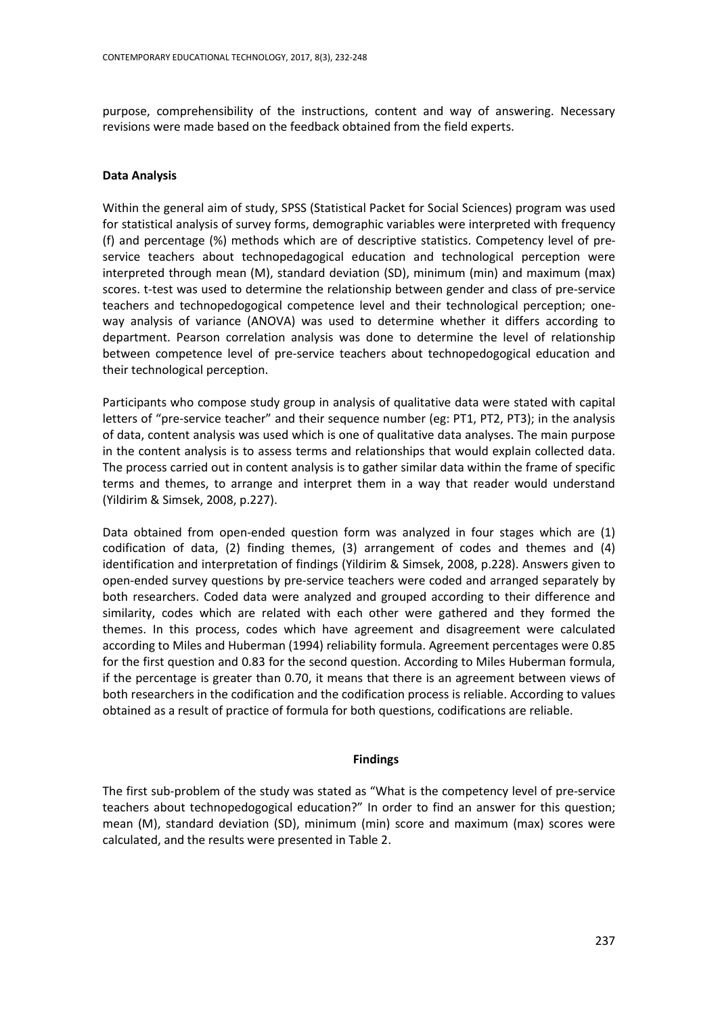purpose, comprehensibility of the instructions, content and way of answering. Necessary revisions were made based on the feedback obtained from the field experts.

## **Data Analysis**

Within the general aim of study, SPSS (Statistical Packet for Social Sciences) program was used for statistical analysis of survey forms, demographic variables were interpreted with frequency (f) and percentage (%) methods which are of descriptive statistics. Competency level of preservice teachers about technopedagogical education and technological perception were interpreted through mean (M), standard deviation (SD), minimum (min) and maximum (max) scores. t-test was used to determine the relationship between gender and class of pre-service teachers and technopedogogical competence level and their technological perception; oneway analysis of variance (ANOVA) was used to determine whether it differs according to department. Pearson correlation analysis was done to determine the level of relationship between competence level of pre-service teachers about technopedogogical education and their technological perception.

Participants who compose study group in analysis of qualitative data were stated with capital letters of "pre-service teacher" and their sequence number (eg: PT1, PT2, PT3); in the analysis of data, content analysis was used which is one of qualitative data analyses. The main purpose in the content analysis is to assess terms and relationships that would explain collected data. The process carried out in content analysis is to gather similar data within the frame of specific terms and themes, to arrange and interpret them in a way that reader would understand (Yildirim & Simsek, 2008, p.227).

Data obtained from open-ended question form was analyzed in four stages which are (1) codification of data, (2) finding themes, (3) arrangement of codes and themes and (4) identification and interpretation of findings (Yildirim & Simsek, 2008, p.228). Answers given to open-ended survey questions by pre-service teachers were coded and arranged separately by both researchers. Coded data were analyzed and grouped according to their difference and similarity, codes which are related with each other were gathered and they formed the themes. In this process, codes which have agreement and disagreement were calculated according to Miles and Huberman (1994) reliability formula. Agreement percentages were 0.85 for the first question and 0.83 for the second question. According to Miles Huberman formula, if the percentage is greater than 0.70, it means that there is an agreement between views of both researchers in the codification and the codification process is reliable. According to values obtained as a result of practice of formula for both questions, codifications are reliable.

## **Findings**

The first sub-problem of the study was stated as "What is the competency level of pre-service teachers about technopedogogical education?" In order to find an answer for this question; mean (M), standard deviation (SD), minimum (min) score and maximum (max) scores were calculated, and the results were presented in Table 2.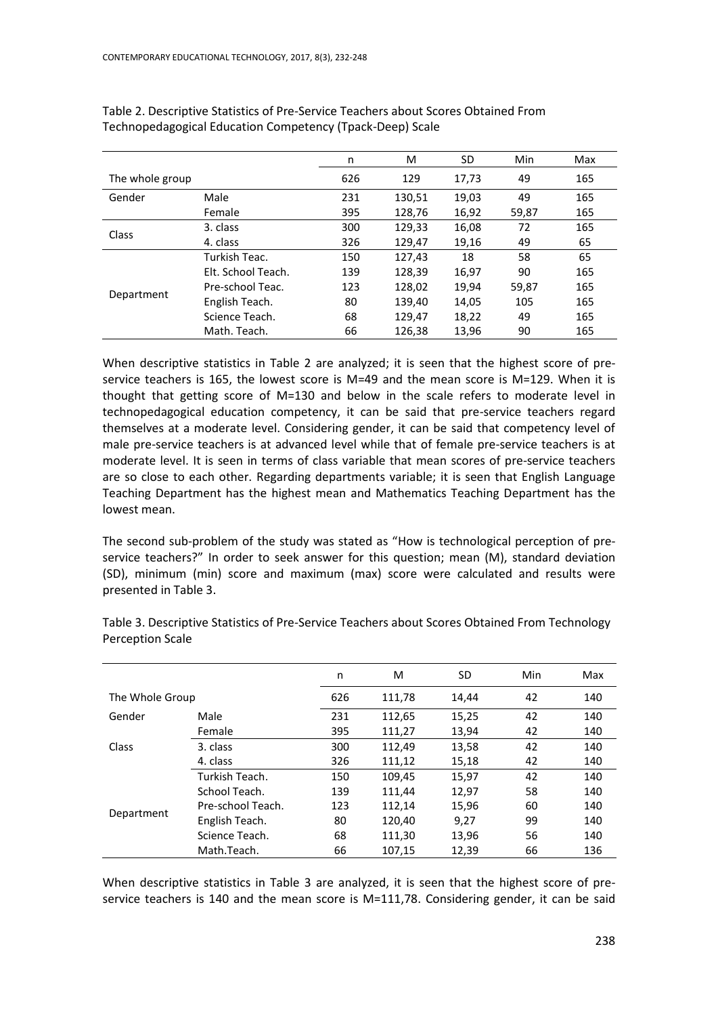|                 |                    | n   | м      | SD    | Min   | Max |
|-----------------|--------------------|-----|--------|-------|-------|-----|
| The whole group |                    | 626 | 129    | 17,73 | 49    | 165 |
| Gender          | Male               | 231 | 130,51 | 19,03 | 49    | 165 |
|                 | Female             | 395 | 128,76 | 16,92 | 59,87 | 165 |
|                 | 3. class           | 300 | 129,33 | 16,08 | 72    | 165 |
| Class           | 4. class           | 326 | 129,47 | 19,16 | 49    | 65  |
| Department      | Turkish Teac.      | 150 | 127,43 | 18    | 58    | 65  |
|                 | Elt. School Teach. | 139 | 128,39 | 16,97 | 90    | 165 |
|                 | Pre-school Teac.   | 123 | 128,02 | 19.94 | 59,87 | 165 |
|                 | English Teach.     | 80  | 139,40 | 14,05 | 105   | 165 |
|                 | Science Teach.     | 68  | 129,47 | 18,22 | 49    | 165 |
|                 | Math. Teach.       | 66  | 126,38 | 13,96 | 90    | 165 |

Table 2. Descriptive Statistics of Pre-Service Teachers about Scores Obtained From Technopedagogical Education Competency (Tpack-Deep) Scale

When descriptive statistics in Table 2 are analyzed; it is seen that the highest score of preservice teachers is 165, the lowest score is M=49 and the mean score is M=129. When it is thought that getting score of M=130 and below in the scale refers to moderate level in technopedagogical education competency, it can be said that pre-service teachers regard themselves at a moderate level. Considering gender, it can be said that competency level of male pre-service teachers is at advanced level while that of female pre-service teachers is at moderate level. It is seen in terms of class variable that mean scores of pre-service teachers are so close to each other. Regarding departments variable; it is seen that English Language Teaching Department has the highest mean and Mathematics Teaching Department has the lowest mean.

The second sub-problem of the study was stated as "How is technological perception of preservice teachers?" In order to seek answer for this question; mean (M), standard deviation (SD), minimum (min) score and maximum (max) score were calculated and results were presented in Table 3.

|                 |                   | n   | м      | SD    | Min | Max |
|-----------------|-------------------|-----|--------|-------|-----|-----|
| The Whole Group |                   | 626 | 111,78 | 14,44 | 42  | 140 |
| Gender          | Male              | 231 | 112,65 | 15,25 | 42  | 140 |
| Class           | Female            | 395 | 111,27 | 13,94 | 42  | 140 |
|                 | 3. class          | 300 | 112.49 | 13,58 | 42  | 140 |
|                 | 4. class          | 326 | 111,12 | 15,18 | 42  | 140 |
| Department      | Turkish Teach.    | 150 | 109,45 | 15,97 | 42  | 140 |
|                 | School Teach.     | 139 | 111.44 | 12,97 | 58  | 140 |
|                 | Pre-school Teach. | 123 | 112,14 | 15,96 | 60  | 140 |
|                 | English Teach.    | 80  | 120.40 | 9,27  | 99  | 140 |
|                 | Science Teach.    | 68  | 111,30 | 13,96 | 56  | 140 |
|                 | Math.Teach.       | 66  | 107.15 | 12.39 | 66  | 136 |

Table 3. Descriptive Statistics of Pre-Service Teachers about Scores Obtained From Technology Perception Scale

When descriptive statistics in Table 3 are analyzed, it is seen that the highest score of preservice teachers is 140 and the mean score is M=111,78. Considering gender, it can be said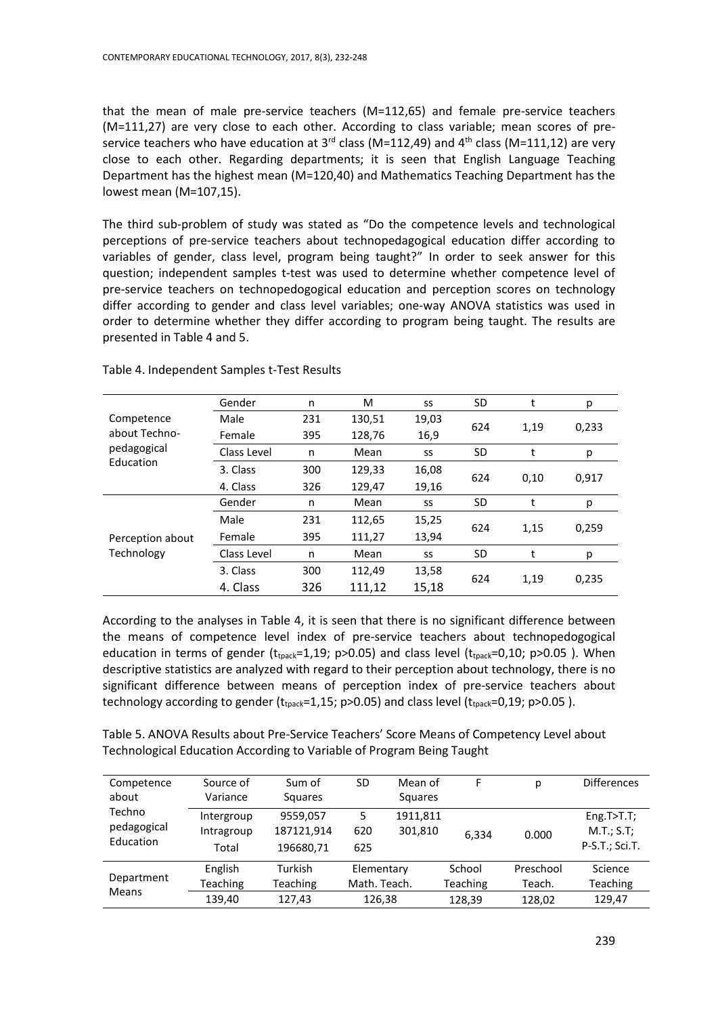that the mean of male pre-service teachers (M=112,65) and female pre-service teachers (M=111,27) are very close to each other. According to class variable; mean scores of preservice teachers who have education at  $3^{rd}$  class (M=112,49) and  $4^{th}$  class (M=111,12) are very close to each other. Regarding departments; it is seen that English Language Teaching Department has the highest mean (M=120,40) and Mathematics Teaching Department has the lowest mean (M=107,15).

The third sub-problem of study was stated as "Do the competence levels and technological perceptions of pre-service teachers about technopedagogical education differ according to variables of gender, class level, program being taught?" In order to seek answer for this question; independent samples t-test was used to determine whether competence level of pre-service teachers on technopedogogical education and perception scores on technology differ according to gender and class level variables; one-way ANOVA statistics was used in order to determine whether they differ according to program being taught. The results are presented in Table 4 and 5.

| Competence                     | Gender      | n   | M      | SS    | SD        | t    | р     |
|--------------------------------|-------------|-----|--------|-------|-----------|------|-------|
|                                | Male        | 231 | 130,51 | 19,03 | 624       | 1,19 | 0,233 |
| about Techno-                  | Female      | 395 | 128,76 | 16,9  |           |      |       |
| pedagogical                    | Class Level | n   | Mean   | SS    | <b>SD</b> | t    | р     |
| Education                      | 3. Class    | 300 | 129,33 | 16,08 | 624       |      |       |
|                                | 4. Class    | 326 | 129,47 | 19,16 |           | 0,10 | 0,917 |
| Perception about<br>Technology | Gender      | n   | Mean   | SS    | <b>SD</b> | t    | р     |
|                                | Male        | 231 | 112,65 | 15,25 | 624       |      |       |
|                                | Female      | 395 | 111,27 | 13,94 |           | 1,15 | 0,259 |
|                                | Class Level | n   | Mean   | SS    | <b>SD</b> | t    | р     |
|                                | 3. Class    | 300 | 112,49 | 13,58 |           |      |       |
|                                | 4. Class    | 326 | 111,12 | 15,18 | 624       | 1,19 | 0,235 |

Table 4. Independent Samples t-Test Results

According to the analyses in Table 4, it is seen that there is no significant difference between the means of competence level index of pre-service teachers about technopedogogical education in terms of gender ( $t_{tpack}=1,19$ ; p>0.05) and class level ( $t_{tpack}=0,10$ ; p>0.05). When descriptive statistics are analyzed with regard to their perception about technology, there is no significant difference between means of perception index of pre-service teachers about technology according to gender ( $t_{tpack}=1,15$ ; p>0.05) and class level ( $t_{tpack}=0,19$ ; p>0.05).

Table 5. ANOVA Results about Pre-Service Teachers' Score Means of Competency Level about Technological Education According to Variable of Program Being Taught

| Competence<br>about                | Source of<br>Variance                | Sum of<br><b>Squares</b>             | SD                                   | Mean of<br>Squares  | F                            | р                             | <b>Differences</b>                           |
|------------------------------------|--------------------------------------|--------------------------------------|--------------------------------------|---------------------|------------------------------|-------------------------------|----------------------------------------------|
| Techno<br>pedagogical<br>Education | Intergroup<br>Intragroup<br>Total    | 9559,057<br>187121,914<br>196680,71  | 5<br>620<br>625                      | 1911,811<br>301,810 | 6.334                        | 0.000                         | Eng.T > T.T;<br>M.T.; S.T;<br>P-S.T.; Sci.T. |
| Department<br><b>Means</b>         | English<br><b>Teaching</b><br>139.40 | Turkish<br><b>Teaching</b><br>127.43 | Elementary<br>Math. Teach.<br>126,38 |                     | School<br>Teaching<br>128,39 | Preschool<br>Teach.<br>128,02 | Science<br>Teaching<br>129.47                |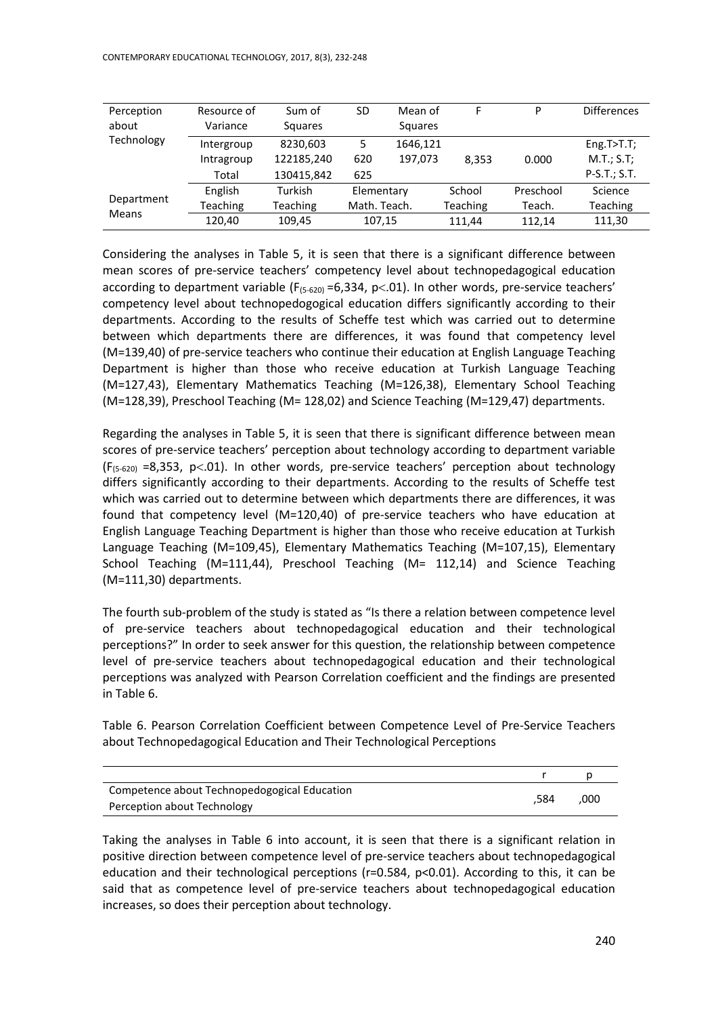| Perception<br>about | Resource of<br>Variance | Sum of<br><b>Squares</b> | SD           | Mean of<br>Squares |                 | P         | <b>Differences</b> |
|---------------------|-------------------------|--------------------------|--------------|--------------------|-----------------|-----------|--------------------|
| Technology          | Intergroup              | 8230,603                 | 5            | 1646,121           |                 |           | Eng.T > T.T;       |
|                     | Intragroup              | 122185,240               | 620          | 197,073            | 8,353           | 0.000     | M.T.; S.T;         |
|                     | Total                   | 130415,842               | 625          |                    |                 |           | P-S.T.; S.T.       |
|                     | English                 | Turkish                  | Elementary   |                    | School          | Preschool | Science            |
| Department<br>Means | Teaching                | Teaching                 | Math. Teach. |                    | <b>Teaching</b> | Teach.    | Teaching           |
|                     | 120,40                  | 109.45                   | 107,15       |                    | 111.44          | 112.14    | 111,30             |

Considering the analyses in Table 5, it is seen that there is a significant difference between mean scores of pre-service teachers' competency level about technopedagogical education according to department variable ( $F_{(5-620)} = 6,334$ , p $< .01$ ). In other words, pre-service teachers' competency level about technopedogogical education differs significantly according to their departments. According to the results of Scheffe test which was carried out to determine between which departments there are differences, it was found that competency level (M=139,40) of pre-service teachers who continue their education at English Language Teaching Department is higher than those who receive education at Turkish Language Teaching (M=127,43), Elementary Mathematics Teaching (M=126,38), Elementary School Teaching (M=128,39), Preschool Teaching (M= 128,02) and Science Teaching (M=129,47) departments.

Regarding the analyses in Table 5, it is seen that there is significant difference between mean scores of pre-service teachers' perception about technology according to department variable  $(F_{(5-620)} = 8,353, p<0.01)$ . In other words, pre-service teachers' perception about technology differs significantly according to their departments. According to the results of Scheffe test which was carried out to determine between which departments there are differences, it was found that competency level (M=120,40) of pre-service teachers who have education at English Language Teaching Department is higher than those who receive education at Turkish Language Teaching (M=109,45), Elementary Mathematics Teaching (M=107,15), Elementary School Teaching (M=111,44), Preschool Teaching (M= 112,14) and Science Teaching (M=111,30) departments.

The fourth sub-problem of the study is stated as "Is there a relation between competence level of pre-service teachers about technopedagogical education and their technological perceptions?" In order to seek answer for this question, the relationship between competence level of pre-service teachers about technopedagogical education and their technological perceptions was analyzed with Pearson Correlation coefficient and the findings are presented in Table 6.

Table 6. Pearson Correlation Coefficient between Competence Level of Pre-Service Teachers about Technopedagogical Education and Their Technological Perceptions

| Competence about Technopedogogical Education |      |      |
|----------------------------------------------|------|------|
| Perception about Technology                  | 584. | .000 |

Taking the analyses in Table 6 into account, it is seen that there is a significant relation in positive direction between competence level of pre-service teachers about technopedagogical education and their technological perceptions (r=0.584, p<0.01). According to this, it can be said that as competence level of pre-service teachers about technopedagogical education increases, so does their perception about technology.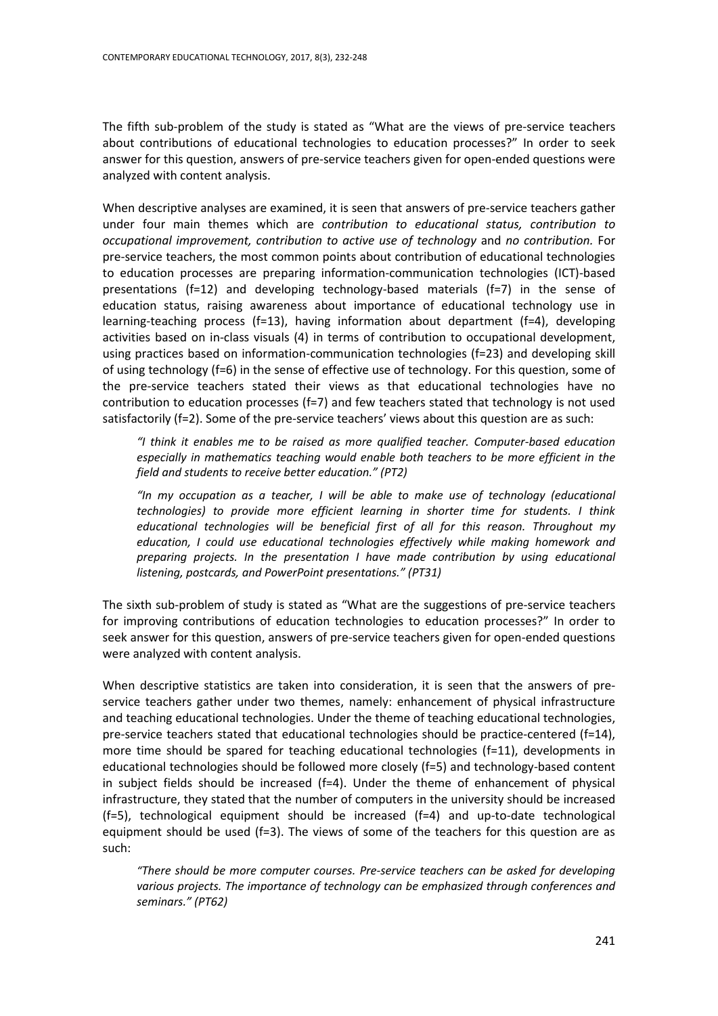The fifth sub-problem of the study is stated as "What are the views of pre-service teachers about contributions of educational technologies to education processes?" In order to seek answer for this question, answers of pre-service teachers given for open-ended questions were analyzed with content analysis.

When descriptive analyses are examined, it is seen that answers of pre-service teachers gather under four main themes which are *contribution to educational status, contribution to occupational improvement, contribution to active use of technology* and *no contribution.* For pre-service teachers, the most common points about contribution of educational technologies to education processes are preparing information-communication technologies (ICT)-based presentations (f=12) and developing technology-based materials (f=7) in the sense of education status, raising awareness about importance of educational technology use in learning-teaching process (f=13), having information about department (f=4), developing activities based on in-class visuals (4) in terms of contribution to occupational development, using practices based on information-communication technologies (f=23) and developing skill of using technology (f=6) in the sense of effective use of technology. For this question, some of the pre-service teachers stated their views as that educational technologies have no contribution to education processes  $(f=7)$  and few teachers stated that technology is not used satisfactorily (f=2). Some of the pre-service teachers' views about this question are as such:

*"I think it enables me to be raised as more qualified teacher. Computer-based education especially in mathematics teaching would enable both teachers to be more efficient in the field and students to receive better education." (PT2)*

*"In my occupation as a teacher, I will be able to make use of technology (educational technologies) to provide more efficient learning in shorter time for students. I think educational technologies will be beneficial first of all for this reason. Throughout my education, I could use educational technologies effectively while making homework and preparing projects. In the presentation I have made contribution by using educational listening, postcards, and PowerPoint presentations." (PT31)*

The sixth sub-problem of study is stated as "What are the suggestions of pre-service teachers for improving contributions of education technologies to education processes?" In order to seek answer for this question, answers of pre-service teachers given for open-ended questions were analyzed with content analysis.

When descriptive statistics are taken into consideration, it is seen that the answers of preservice teachers gather under two themes, namely: enhancement of physical infrastructure and teaching educational technologies. Under the theme of teaching educational technologies, pre-service teachers stated that educational technologies should be practice-centered (f=14), more time should be spared for teaching educational technologies (f=11), developments in educational technologies should be followed more closely (f=5) and technology-based content in subject fields should be increased  $(f=4)$ . Under the theme of enhancement of physical infrastructure, they stated that the number of computers in the university should be increased (f=5), technological equipment should be increased (f=4) and up-to-date technological equipment should be used ( $f=3$ ). The views of some of the teachers for this question are as such:

*"There should be more computer courses. Pre-service teachers can be asked for developing various projects. The importance of technology can be emphasized through conferences and seminars." (PT62)*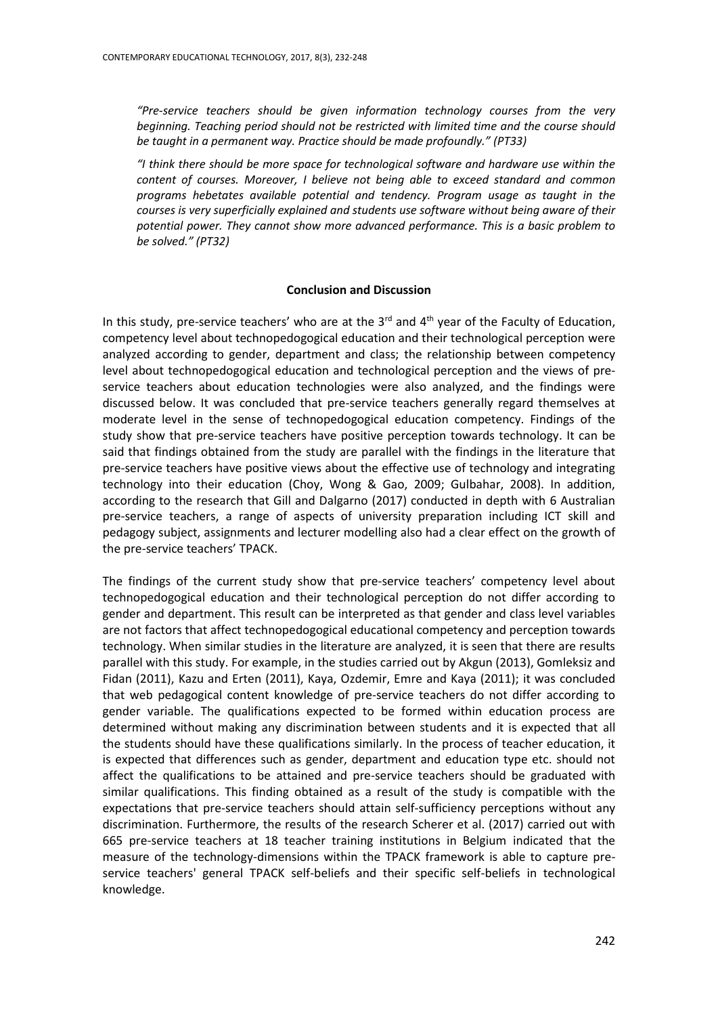*"Pre-service teachers should be given information technology courses from the very beginning. Teaching period should not be restricted with limited time and the course should be taught in a permanent way. Practice should be made profoundly." (PT33)*

*"I think there should be more space for technological software and hardware use within the content of courses. Moreover, I believe not being able to exceed standard and common programs hebetates available potential and tendency. Program usage as taught in the courses is very superficially explained and students use software without being aware of their potential power. They cannot show more advanced performance. This is a basic problem to be solved." (PT32)*

## **Conclusion and Discussion**

In this study, pre-service teachers' who are at the  $3<sup>rd</sup>$  and  $4<sup>th</sup>$  year of the Faculty of Education, competency level about technopedogogical education and their technological perception were analyzed according to gender, department and class; the relationship between competency level about technopedogogical education and technological perception and the views of preservice teachers about education technologies were also analyzed, and the findings were discussed below. It was concluded that pre-service teachers generally regard themselves at moderate level in the sense of technopedogogical education competency. Findings of the study show that pre-service teachers have positive perception towards technology. It can be said that findings obtained from the study are parallel with the findings in the literature that pre-service teachers have positive views about the effective use of technology and integrating technology into their education (Choy, Wong & Gao, 2009; Gulbahar, 2008). In addition, according to the research that Gill and Dalgarno (2017) conducted in depth with 6 Australian pre-service teachers, a range of aspects of university preparation including ICT skill and pedagogy subject, assignments and lecturer modelling also had a clear effect on the growth of the pre-service teachers' TPACK.

The findings of the current study show that pre-service teachers' competency level about technopedogogical education and their technological perception do not differ according to gender and department. This result can be interpreted as that gender and class level variables are not factors that affect technopedogogical educational competency and perception towards technology. When similar studies in the literature are analyzed, it is seen that there are results parallel with this study. For example, in the studies carried out by Akgun (2013), Gomleksiz and Fidan (2011), Kazu and Erten (2011), Kaya, Ozdemir, Emre and Kaya (2011); it was concluded that web pedagogical content knowledge of pre-service teachers do not differ according to gender variable. The qualifications expected to be formed within education process are determined without making any discrimination between students and it is expected that all the students should have these qualifications similarly. In the process of teacher education, it is expected that differences such as gender, department and education type etc. should not affect the qualifications to be attained and pre-service teachers should be graduated with similar qualifications. This finding obtained as a result of the study is compatible with the expectations that pre-service teachers should attain self-sufficiency perceptions without any discrimination. Furthermore, the results of the research Scherer et al. (2017) carried out with 665 pre-service teachers at 18 teacher training institutions in Belgium indicated that the measure of the technology-dimensions within the TPACK framework is able to capture preservice teachers' general TPACK self-beliefs and their specific self-beliefs in technological knowledge.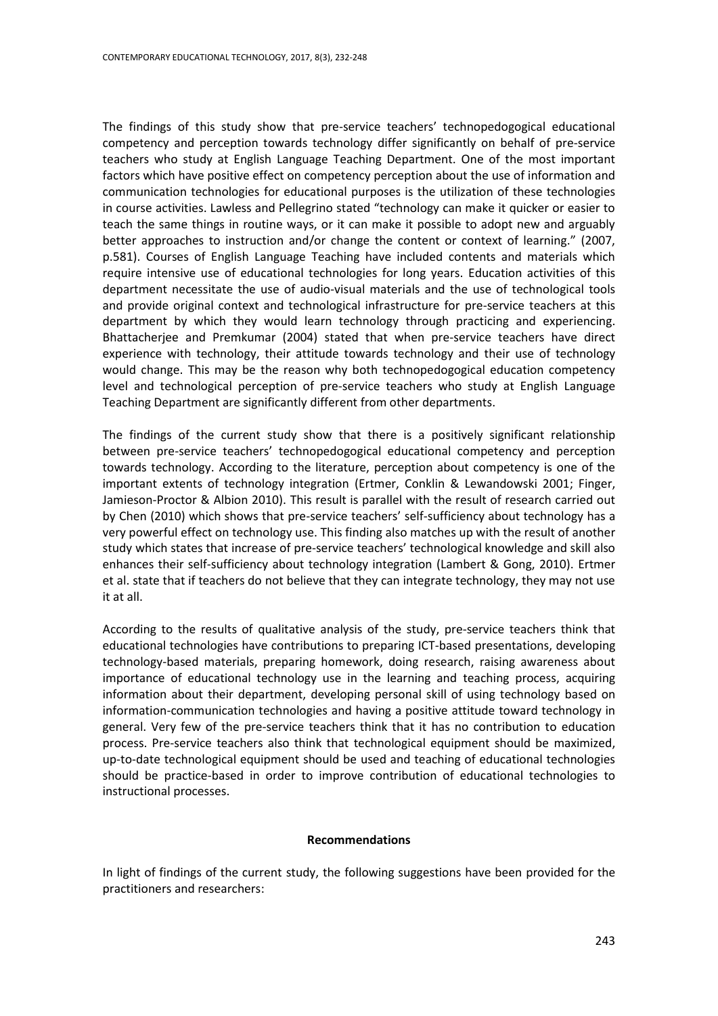The findings of this study show that pre-service teachers' technopedogogical educational competency and perception towards technology differ significantly on behalf of pre-service teachers who study at English Language Teaching Department. One of the most important factors which have positive effect on competency perception about the use of information and communication technologies for educational purposes is the utilization of these technologies in course activities. Lawless and Pellegrino stated "technology can make it quicker or easier to teach the same things in routine ways, or it can make it possible to adopt new and arguably better approaches to instruction and/or change the content or context of learning." (2007, p.581). Courses of English Language Teaching have included contents and materials which require intensive use of educational technologies for long years. Education activities of this department necessitate the use of audio-visual materials and the use of technological tools and provide original context and technological infrastructure for pre-service teachers at this department by which they would learn technology through practicing and experiencing. Bhattacherjee and Premkumar (2004) stated that when pre-service teachers have direct experience with technology, their attitude towards technology and their use of technology would change. This may be the reason why both technopedogogical education competency level and technological perception of pre-service teachers who study at English Language Teaching Department are significantly different from other departments.

The findings of the current study show that there is a positively significant relationship between pre-service teachers' technopedogogical educational competency and perception towards technology. According to the literature, perception about competency is one of the important extents of technology integration (Ertmer, Conklin & Lewandowski 2001; Finger, Jamieson-Proctor & Albion 2010). This result is parallel with the result of research carried out by Chen (2010) which shows that pre-service teachers' self-sufficiency about technology has a very powerful effect on technology use. This finding also matches up with the result of another study which states that increase of pre-service teachers' technological knowledge and skill also enhances their self-sufficiency about technology integration (Lambert & Gong, 2010). Ertmer et al. state that if teachers do not believe that they can integrate technology, they may not use it at all.

According to the results of qualitative analysis of the study, pre-service teachers think that educational technologies have contributions to preparing ICT-based presentations, developing technology-based materials, preparing homework, doing research, raising awareness about importance of educational technology use in the learning and teaching process, acquiring information about their department, developing personal skill of using technology based on information-communication technologies and having a positive attitude toward technology in general. Very few of the pre-service teachers think that it has no contribution to education process. Pre-service teachers also think that technological equipment should be maximized, up-to-date technological equipment should be used and teaching of educational technologies should be practice-based in order to improve contribution of educational technologies to instructional processes.

## **Recommendations**

In light of findings of the current study, the following suggestions have been provided for the practitioners and researchers: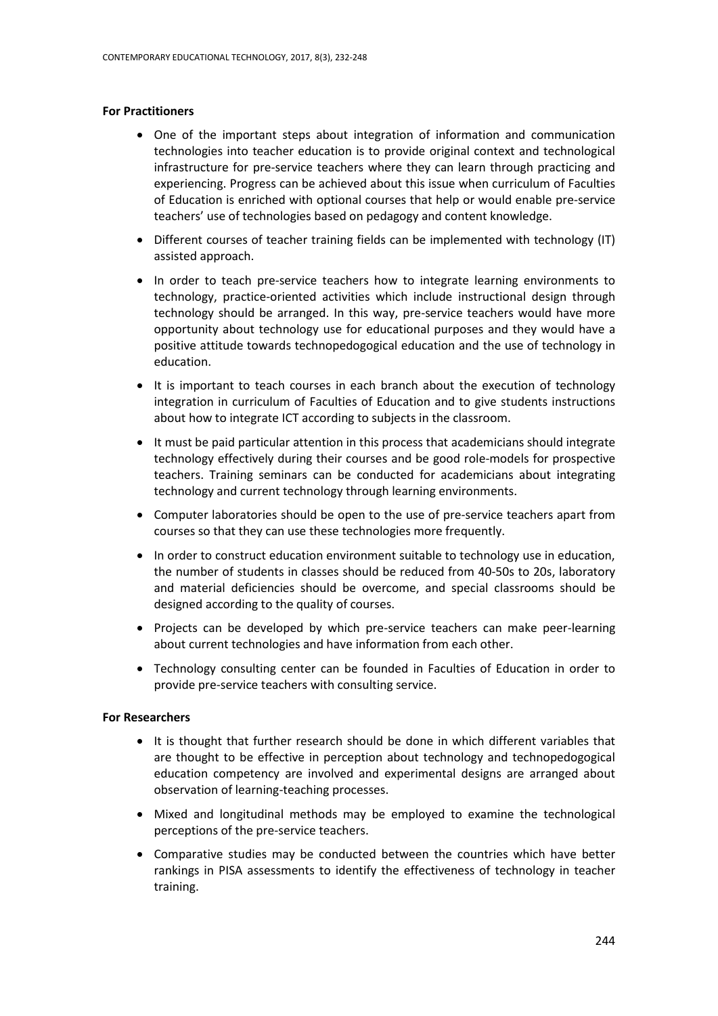## **For Practitioners**

- One of the important steps about integration of information and communication technologies into teacher education is to provide original context and technological infrastructure for pre-service teachers where they can learn through practicing and experiencing. Progress can be achieved about this issue when curriculum of Faculties of Education is enriched with optional courses that help or would enable pre-service teachers' use of technologies based on pedagogy and content knowledge.
- Different courses of teacher training fields can be implemented with technology (IT) assisted approach.
- In order to teach pre-service teachers how to integrate learning environments to technology, practice-oriented activities which include instructional design through technology should be arranged. In this way, pre-service teachers would have more opportunity about technology use for educational purposes and they would have a positive attitude towards technopedogogical education and the use of technology in education.
- It is important to teach courses in each branch about the execution of technology integration in curriculum of Faculties of Education and to give students instructions about how to integrate ICT according to subjects in the classroom.
- It must be paid particular attention in this process that academicians should integrate technology effectively during their courses and be good role-models for prospective teachers. Training seminars can be conducted for academicians about integrating technology and current technology through learning environments.
- Computer laboratories should be open to the use of pre-service teachers apart from courses so that they can use these technologies more frequently.
- In order to construct education environment suitable to technology use in education, the number of students in classes should be reduced from 40-50s to 20s, laboratory and material deficiencies should be overcome, and special classrooms should be designed according to the quality of courses.
- Projects can be developed by which pre-service teachers can make peer-learning about current technologies and have information from each other.
- Technology consulting center can be founded in Faculties of Education in order to provide pre-service teachers with consulting service.

## **For Researchers**

- It is thought that further research should be done in which different variables that are thought to be effective in perception about technology and technopedogogical education competency are involved and experimental designs are arranged about observation of learning-teaching processes.
- Mixed and longitudinal methods may be employed to examine the technological perceptions of the pre-service teachers.
- Comparative studies may be conducted between the countries which have better rankings in PISA assessments to identify the effectiveness of technology in teacher training.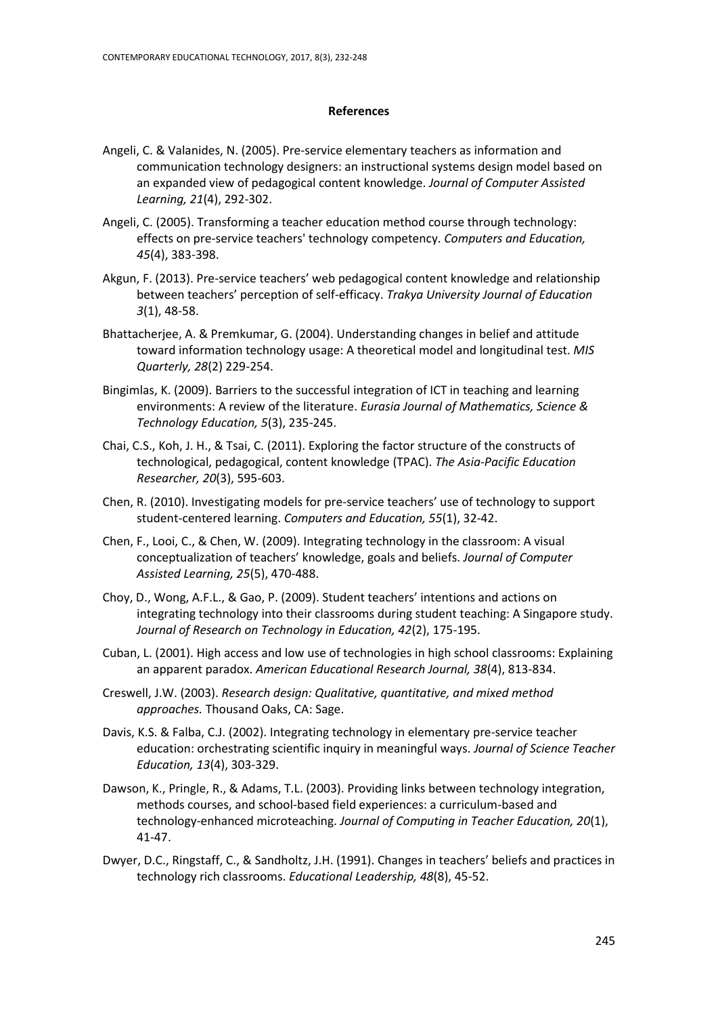#### **References**

- Angeli, C. & Valanides, N. (2005). Pre-service elementary teachers as information and communication technology designers: an instructional systems design model based on an expanded view of pedagogical content knowledge. *Journal of Computer Assisted Learning, 21*(4), 292-302.
- Angeli, C. (2005). Transforming a teacher education method course through technology: effects on pre-service teachers' technology competency. *Computers and Education, 45*(4), 383-398.
- Akgun, F. (2013). Pre-service teachers' web pedagogical content knowledge and relationship between teachers' perception of self-efficacy. *Trakya University Journal of Education 3*(1), 48-58.
- Bhattacherjee, A. & Premkumar, G. (2004). Understanding changes in belief and attitude toward information technology usage: A theoretical model and longitudinal test. *MIS Quarterly, 28*(2) 229-254.
- Bingimlas, K. (2009). Barriers to the successful integration of ICT in teaching and learning environments: A review of the literature. *Eurasia Journal of Mathematics, Science & Technology Education, 5*(3), 235-245.
- Chai, C.S., Koh, J. H., & Tsai, C. (2011). Exploring the factor structure of the constructs of technological, pedagogical, content knowledge (TPAC). *The Asia-Pacific Education Researcher, 20*(3), 595-603.
- Chen, R. (2010). Investigating models for pre-service teachers' use of technology to support student-centered learning. *Computers and Education, 55*(1), 32-42.
- Chen, F., Looi, C., & Chen, W. (2009). Integrating technology in the classroom: A visual conceptualization of teachers' knowledge, goals and beliefs. *Journal of Computer Assisted Learning, 25*(5), 470-488.
- Choy, D., Wong, A.F.L., & Gao, P. (2009). Student teachers' intentions and actions on integrating technology into their classrooms during student teaching: A Singapore study. *Journal of Research on Technology in Education, 42*(2), 175-195.
- Cuban, L. (2001). High access and low use of technologies in high school classrooms: Explaining an apparent paradox. *American Educational Research Journal, 38*(4), 813-834.
- Creswell, J.W. (2003). *Research design: Qualitative, quantitative, and mixed method approaches.* Thousand Oaks, CA: Sage.
- Davis, K.S. & Falba, C.J. (2002). Integrating technology in elementary pre-service teacher education: orchestrating scientific inquiry in meaningful ways. *Journal of Science Teacher Education, 13*(4), 303-329.
- Dawson, K., Pringle, R., & Adams, T.L. (2003). Providing links between technology integration, methods courses, and school-based field experiences: a curriculum-based and technology-enhanced microteaching. *Journal of Computing in Teacher Education, 20*(1), 41-47.
- Dwyer, D.C., Ringstaff, C., & Sandholtz, J.H. (1991). Changes in teachers' beliefs and practices in technology rich classrooms. *Educational Leadership, 48*(8), 45-52.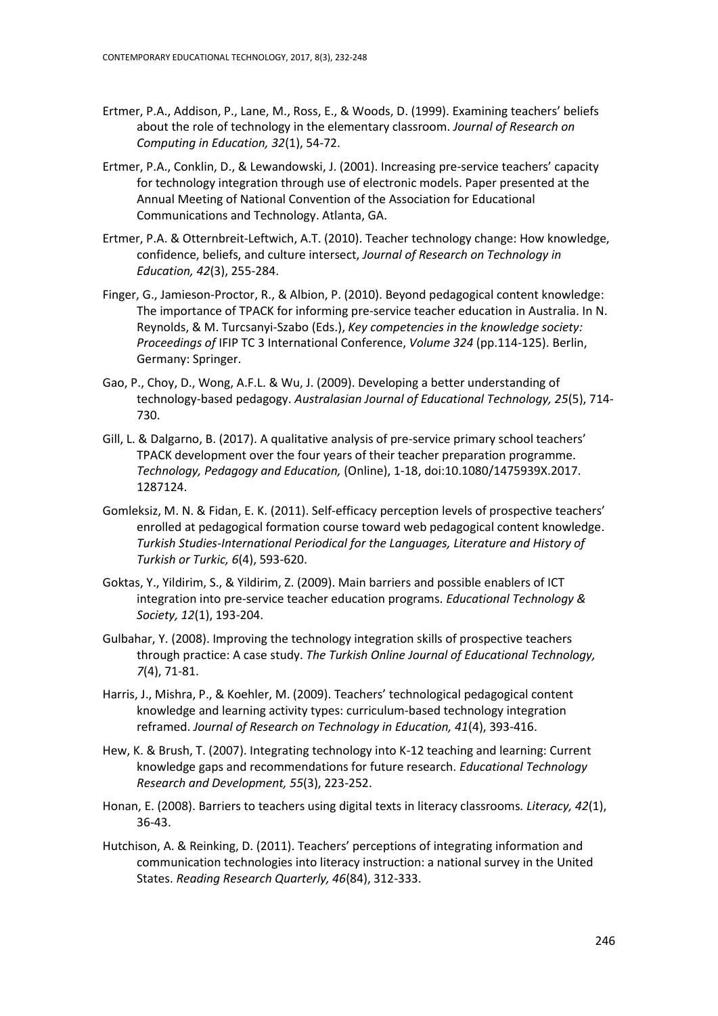- Ertmer, P.A., Addison, P., Lane, M., Ross, E., & Woods, D. (1999). Examining teachers' beliefs about the role of technology in the elementary classroom. *Journal of Research on Computing in Education, 32*(1), 54-72.
- Ertmer, P.A., Conklin, D., & Lewandowski, J. (2001). Increasing pre-service teachers' capacity for technology integration through use of electronic models. Paper presented at the Annual Meeting of National Convention of the Association for Educational Communications and Technology. Atlanta, GA.
- Ertmer, P.A. & Otternbreit-Leftwich, A.T. (2010). Teacher technology change: How knowledge, confidence, beliefs, and culture intersect, *Journal of Research on Technology in Education, 42*(3), 255-284.
- Finger, G., Jamieson-Proctor, R., & Albion, P. (2010). Beyond pedagogical content knowledge: The importance of TPACK for informing pre-service teacher education in Australia. In N. Reynolds, & M. Turcsanyi-Szabo (Eds.), *Key competencies in the knowledge society: Proceedings of* IFIP TC 3 International Conference, *Volume 324* (pp.114-125). Berlin, Germany: Springer.
- Gao, P., Choy, D., Wong, A.F.L. & Wu, J. (2009). Developing a better understanding of technology-based pedagogy. *Australasian Journal of Educational Technology, 25*(5), 714- 730.
- Gill, L. & Dalgarno, B. (2017). A qualitative analysis of pre-service primary school teachers' TPACK development over the four years of their teacher preparation programme. *Technology, Pedagogy and Education,* (Online), 1-18, doi:10.1080/1475939X.2017. 1287124.
- Gomleksiz, M. N. & Fidan, E. K. (2011). Self-efficacy perception levels of prospective teachers' enrolled at pedagogical formation course toward web pedagogical content knowledge. *Turkish Studies-International Periodical for the Languages, Literature and History of Turkish or Turkic, 6*(4), 593-620.
- Goktas, Y., Yildirim, S., & Yildirim, Z. (2009). Main barriers and possible enablers of ICT integration into pre-service teacher education programs. *Educational Technology & Society, 12*(1), 193-204.
- Gulbahar, Y. (2008). Improving the technology integration skills of prospective teachers through practice: A case study. *The Turkish Online Journal of Educational Technology, 7*(4), 71-81.
- Harris, J., Mishra, P., & Koehler, M. (2009). Teachers' technological pedagogical content knowledge and learning activity types: curriculum-based technology integration reframed. *Journal of Research on Technology in Education, 41*(4), 393-416.
- Hew, K. & Brush, T. (2007). Integrating technology into K-12 teaching and learning: Current knowledge gaps and recommendations for future research. *Educational Technology Research and Development, 55*(3), 223-252.
- Honan, E. (2008). Barriers to teachers using digital texts in literacy classrooms*. Literacy, 42*(1), 36-43.
- Hutchison, A. & Reinking, D. (2011). Teachers' perceptions of integrating information and communication technologies into literacy instruction: a national survey in the United States. *Reading Research Quarterly, 46*(84), 312-333.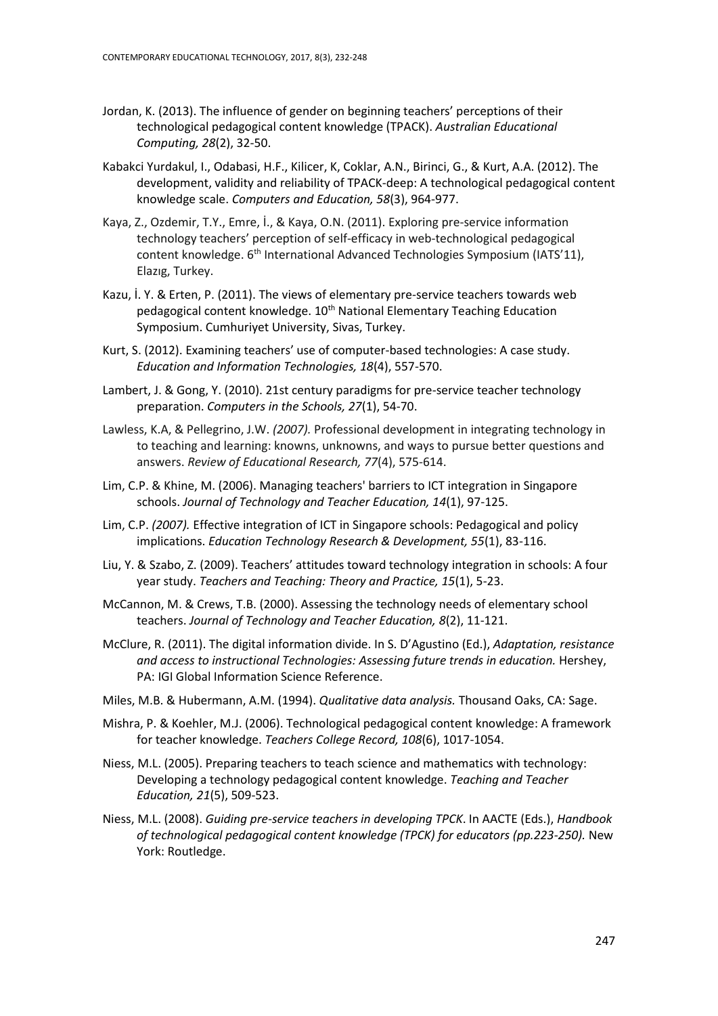- Jordan, K. (2013). The influence of gender on beginning teachers' perceptions of their technological pedagogical content knowledge (TPACK). *Australian Educational Computing, 28*(2), 32-50.
- Kabakci Yurdakul, I., Odabasi, H.F., Kilicer, K, Coklar, A.N., Birinci, G., & Kurt, A.A. (2012). The development, validity and reliability of TPACK-deep: A technological pedagogical content knowledge scale. *Computers and Education, 58*(3), 964-977.
- Kaya, Z., Ozdemir, T.Y., Emre, İ., & Kaya, O.N. (2011). Exploring pre-service information technology teachers' perception of self-efficacy in web-technological pedagogical content knowledge. 6<sup>th</sup> International Advanced Technologies Symposium (IATS'11), Elazıg, Turkey.
- Kazu, İ. Y. & Erten, P. (2011). The views of elementary pre-service teachers towards web pedagogical content knowledge. 10<sup>th</sup> National Elementary Teaching Education Symposium. Cumhuriyet University, Sivas, Turkey.
- Kurt, S. (2012). Examining teachers' use of computer-based technologies: A case study. *Education and Information Technologies, 18*(4), 557-570.
- Lambert, J. & Gong, Y. (2010). 21st century paradigms for pre-service teacher technology preparation. *Computers in the Schools, 27*(1), 54-70.
- Lawless, K.A, & Pellegrino, J.W. *(2007).* Professional development in integrating technology in to teaching and learning: knowns, unknowns, and ways to pursue better questions and answers. *Review of Educational Research, 77*(4), 575-614.
- Lim, C.P. & Khine, M. (2006). Managing teachers' barriers to ICT integration in Singapore schools. *Journal of Technology and Teacher Education, 14*(1), 97-125.
- Lim, C.P. *(2007).* Effective integration of ICT in Singapore schools: Pedagogical and policy implications. *Education Technology Research & Development, 55*(1), 83-116.
- Liu, Y. & Szabo, Z. (2009). Teachers' attitudes toward technology integration in schools: A four year study. *Teachers and Teaching: Theory and Practice, 15*(1), 5-23.
- McCannon, M. & Crews, T.B. (2000). Assessing the technology needs of elementary school teachers. *Journal of Technology and Teacher Education, 8*(2), 11-121.
- McClure, R. (2011). The digital information divide. In S. D'Agustino (Ed.), *Adaptation, resistance and access to instructional Technologies: Assessing future trends in education.* Hershey, PA: IGI Global Information Science Reference.
- Miles, M.B. & Hubermann, A.M. (1994). *Qualitative data analysis.* Thousand Oaks, CA: Sage.
- Mishra, P. & Koehler, M.J. (2006). Technological pedagogical content knowledge: A framework for teacher knowledge. *Teachers College Record, 108*(6), 1017-1054.
- Niess, M.L. (2005). Preparing teachers to teach science and mathematics with technology: Developing a technology pedagogical content knowledge. *Teaching and Teacher Education, 21*(5), 509-523.
- Niess, M.L. (2008). *Guiding pre-service teachers in developing TPCK*. In AACTE (Eds.), *Handbook of technological pedagogical content knowledge (TPCK) for educators (pp.223-250).* New York: Routledge.